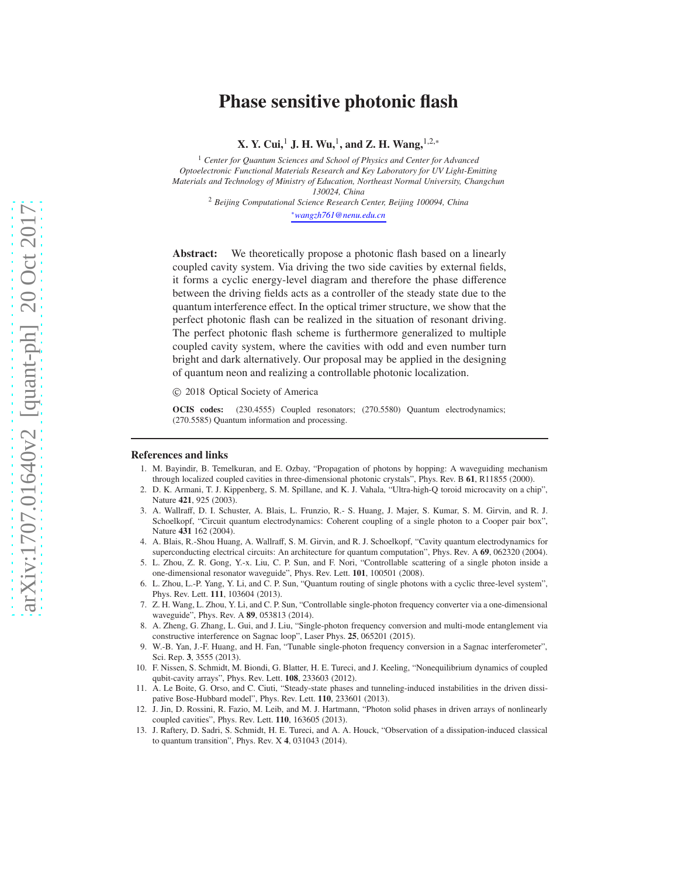# Phase sensitive photonic flash

X. Y. Cui,<sup>1</sup> J. H. Wu,<sup>1</sup>, and Z. H. Wang,  $1,2,*$ 

<sup>1</sup> *Center for Quantum Sciences and School of Physics and Center for Advanced Optoelectronic Functional Materials Research and Key Laboratory for UV Light-Emitting Materials and Technology of Ministry of Education, Northeast Normal University, Changchun 130024, China*

<sup>2</sup> *Beijing Computational Science Research Center, Beijing 100094, China*

<sup>∗</sup>*wangzh761@nenu.edu.cn*

Abstract: We theoretically propose a photonic flash based on a linearly coupled cavity system. Via driving the two side cavities by external fields, it forms a cyclic energy-level diagram and therefore the phase difference between the driving fields acts as a controller of the steady state due to the quantum interference effect. In the optical trimer structure, we show that the perfect photonic flash can be realized in the situation of resonant driving. The perfect photonic flash scheme is furthermore generalized to multiple coupled cavity system, where the cavities with odd and even number turn bright and dark alternatively. Our proposal may be applied in the designing of quantum neon and realizing a controllable photonic localization.

© 2018 Optical Society of America

OCIS codes: (230.4555) Coupled resonators; (270.5580) Quantum electrodynamics; (270.5585) Quantum information and processing.

### <span id="page-0-0"></span>References and links

- 1. M. Bayindir, B. Temelkuran, and E. Ozbay, "Propagation of photons by hopping: A waveguiding mechanism through localized coupled cavities in three-dimensional photonic crystals", Phys. Rev. B 61, R11855 (2000).
- <span id="page-0-1"></span>2. D. K. Armani, T. J. Kippenberg, S. M. Spillane, and K. J. Vahala, "Ultra-high-Q toroid microcavity on a chip", Nature 421, 925 (2003).
- <span id="page-0-2"></span>3. A. Wallraff, D. I. Schuster, A. Blais, L. Frunzio, R.- S. Huang, J. Majer, S. Kumar, S. M. Girvin, and R. J. Schoelkopf, "Circuit quantum electrodynamics: Coherent coupling of a single photon to a Cooper pair box", Nature 431 162 (2004).
- <span id="page-0-3"></span>4. A. Blais, R.-Shou Huang, A. Wallraff, S. M. Girvin, and R. J. Schoelkopf, "Cavity quantum electrodynamics for superconducting electrical circuits: An architecture for quantum computation", Phys. Rev. A 69, 062320 (2004).
- <span id="page-0-4"></span>5. L. Zhou, Z. R. Gong, Y.-x. Liu, C. P. Sun, and F. Nori, "Controllable scattering of a single photon inside a one-dimensional resonator waveguide", Phys. Rev. Lett. 101, 100501 (2008).
- <span id="page-0-5"></span>6. L. Zhou, L.-P. Yang, Y. Li, and C. P. Sun, "Quantum routing of single photons with a cyclic three-level system", Phys. Rev. Lett. 111, 103604 (2013).
- <span id="page-0-6"></span>7. Z. H. Wang, L. Zhou, Y. Li, and C. P. Sun, "Controllable single-photon frequency converter via a one-dimensional waveguide", Phys. Rev. A 89, 053813 (2014).
- 8. A. Zheng, G. Zhang, L. Gui, and J. Liu, "Single-photon frequency conversion and multi-mode entanglement via constructive interference on Sagnac loop", Laser Phys. 25, 065201 (2015).
- <span id="page-0-7"></span>9. W.-B. Yan, J.-F. Huang, and H. Fan, "Tunable single-photon frequency conversion in a Sagnac interferometer", Sci. Rep. 3, 3555 (2013).
- <span id="page-0-8"></span>10. F. Nissen, S. Schmidt, M. Biondi, G. Blatter, H. E. Tureci, and J. Keeling, "Nonequilibrium dynamics of coupled qubit-cavity arrays", Phys. Rev. Lett. 108, 233603 (2012).
- 11. A. Le Boite, G. Orso, and C. Ciuti, "Steady-state phases and tunneling-induced instabilities in the driven dissipative Bose-Hubbard model", Phys. Rev. Lett. 110, 233601 (2013).
- 12. J. Jin, D. Rossini, R. Fazio, M. Leib, and M. J. Hartmann, "Photon solid phases in driven arrays of nonlinearly coupled cavities", Phys. Rev. Lett. 110, 163605 (2013).
- 13. J. Raftery, D. Sadri, S. Schmidt, H. E. Tureci, and A. A. Houck, "Observation of a dissipation-induced classical to quantum transition", Phys. Rev. X 4, 031043 (2014).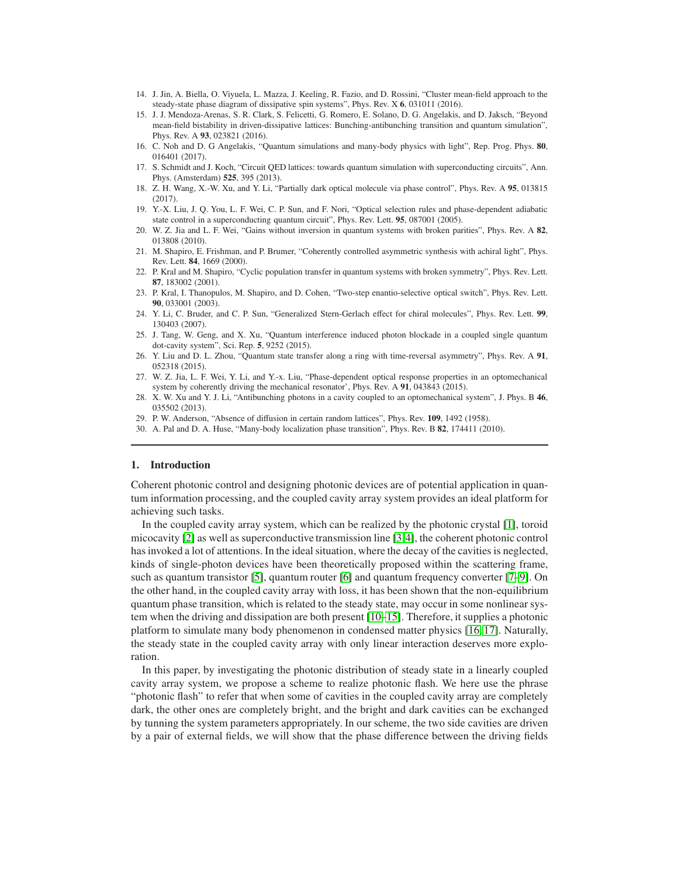- 14. J. Jin, A. Biella, O. Viyuela, L. Mazza, J. Keeling, R. Fazio, and D. Rossini, "Cluster mean-field approach to the steady-state phase diagram of dissipative spin systems", Phys. Rev. X 6, 031011 (2016).
- <span id="page-1-0"></span>15. J. J. Mendoza-Arenas, S. R. Clark, S. Felicetti, G. Romero, E. Solano, D. G. Angelakis, and D. Jaksch, "Beyond mean-field bistability in driven-dissipative lattices: Bunching-antibunching transition and quantum simulation", Phys. Rev. A 93, 023821 (2016).
- <span id="page-1-1"></span>16. C. Noh and D. G Angelakis, "Quantum simulations and many-body physics with light", Rep. Prog. Phys. 80, 016401 (2017).
- <span id="page-1-2"></span>17. S. Schmidt and J. Koch, "Circuit QED lattices: towards quantum simulation with superconducting circuits", Ann. Phys. (Amsterdam) 525, 395 (2013).
- <span id="page-1-3"></span>18. Z. H. Wang, X.-W. Xu, and Y. Li, "Partially dark optical molecule via phase control", Phys. Rev. A 95, 013815 (2017).
- <span id="page-1-4"></span>19. Y.-X. Liu, J. Q. You, L. F. Wei, C. P. Sun, and F. Nori, "Optical selection rules and phase-dependent adiabatic state control in a superconducting quantum circuit", Phys. Rev. Lett. 95, 087001 (2005).
- <span id="page-1-5"></span>20. W. Z. Jia and L. F. Wei, "Gains without inversion in quantum systems with broken parities", Phys. Rev. A 82, 013808 (2010).
- <span id="page-1-6"></span>21. M. Shapiro, E. Frishman, and P. Brumer, "Coherently controlled asymmetric synthesis with achiral light", Phys. Rev. Lett. 84, 1669 (2000).
- 22. P. Kral and M. Shapiro, "Cyclic population transfer in quantum systems with broken symmetry", Phys. Rev. Lett. 87, 183002 (2001).
- 23. P. Kral, I. Thanopulos, M. Shapiro, and D. Cohen, "Two-step enantio-selective optical switch", Phys. Rev. Lett. 90, 033001 (2003).
- <span id="page-1-7"></span>24. Y. Li, C. Bruder, and C. P. Sun, "Generalized Stern-Gerlach effect for chiral molecules", Phys. Rev. Lett. 99, 130403 (2007).
- <span id="page-1-8"></span>25. J. Tang, W. Geng, and X. Xu, "Quantum interference induced photon blockade in a coupled single quantum dot-cavity system", Sci. Rep. 5, 9252 (2015).
- <span id="page-1-9"></span>26. Y. Liu and D. L. Zhou, "Quantum state transfer along a ring with time-reversal asymmetry", Phys. Rev. A 91, 052318 (2015).
- <span id="page-1-10"></span>27. W. Z. Jia, L. F. Wei, Y. Li, and Y.-x. Liu, "Phase-dependent optical response properties in an optomechanical system by coherently driving the mechanical resonator', Phys. Rev. A 91, 043843 (2015).
- <span id="page-1-11"></span>28. X. W. Xu and Y. J. Li, "Antibunching photons in a cavity coupled to an optomechanical system", J. Phys. B 46, 035502 (2013).
- <span id="page-1-12"></span>29. P. W. Anderson, "Absence of diffusion in certain random lattices", Phys. Rev. 109, 1492 (1958).
- <span id="page-1-13"></span>30. A. Pal and D. A. Huse, "Many-body localization phase transition", Phys. Rev. B 82, 174411 (2010).

## 1. Introduction

Coherent photonic control and designing photonic devices are of potential application in quantum information processing, and the coupled cavity array system provides an ideal platform for achieving such tasks.

In the coupled cavity array system, which can be realized by the photonic crystal [\[1\]](#page-0-0), toroid micocavity [\[2\]](#page-0-1) as well as superconductive transmission line [\[3,](#page-0-2)[4\]](#page-0-3), the coherent photonic control has invoked a lot of attentions. In the ideal situation, where the decay of the cavities is neglected, kinds of single-photon devices have been theoretically proposed within the scattering frame, such as quantum transistor [\[5\]](#page-0-4), quantum router [\[6\]](#page-0-5) and quantum frequency converter [\[7–](#page-0-6)[9\]](#page-0-7). On the other hand, in the coupled cavity array with loss, it has been shown that the non-equilibrium quantum phase transition, which is related to the steady state, may occur in some nonlinear system when the driving and dissipation are both present [\[10](#page-0-8)[–15\]](#page-1-0). Therefore, it supplies a photonic platform to simulate many body phenomenon in condensed matter physics [\[16,](#page-1-1) [17\]](#page-1-2). Naturally, the steady state in the coupled cavity array with only linear interaction deserves more exploration.

In this paper, by investigating the photonic distribution of steady state in a linearly coupled cavity array system, we propose a scheme to realize photonic flash. We here use the phrase "photonic flash" to refer that when some of cavities in the coupled cavity array are completely dark, the other ones are completely bright, and the bright and dark cavities can be exchanged by tunning the system parameters appropriately. In our scheme, the two side cavities are driven by a pair of external fields, we will show that the phase difference between the driving fields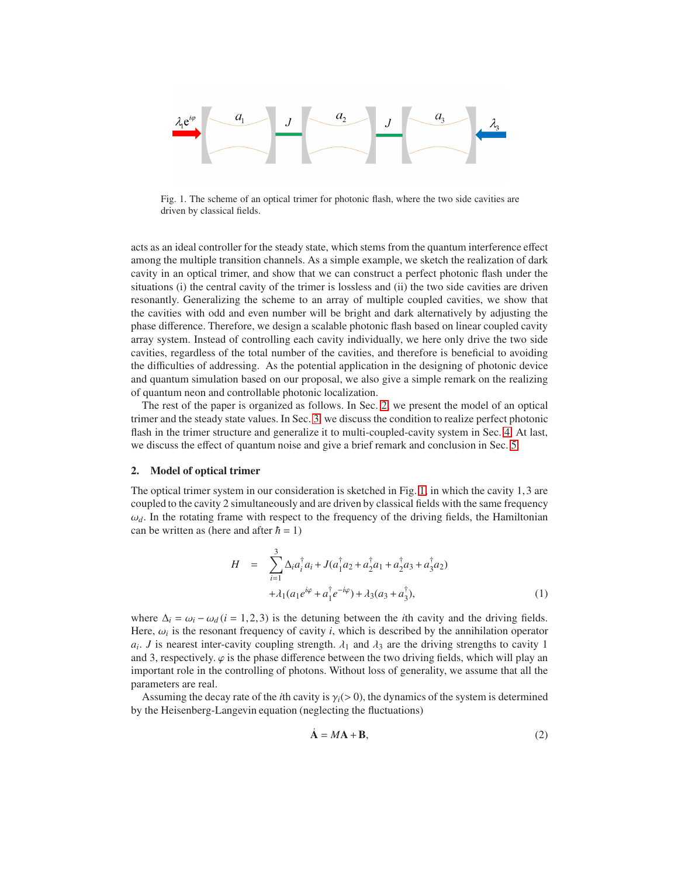

<span id="page-2-1"></span>Fig. 1. The scheme of an optical trimer for photonic flash, where the two side cavities are driven by classical fields.

acts as an ideal controller for the steady state, which stems from the quantum interference effect among the multiple transition channels. As a simple example, we sketch the realization of dark cavity in an optical trimer, and show that we can construct a perfect photonic flash under the situations (i) the central cavity of the trimer is lossless and (ii) the two side cavities are driven resonantly. Generalizing the scheme to an array of multiple coupled cavities, we show that the cavities with odd and even number will be bright and dark alternatively by adjusting the phase difference. Therefore, we design a scalable photonic flash based on linear coupled cavity array system. Instead of controlling each cavity individually, we here only drive the two side cavities, regardless of the total number of the cavities, and therefore is beneficial to avoiding the difficulties of addressing. As the potential application in the designing of photonic device and quantum simulation based on our proposal, we also give a simple remark on the realizing of quantum neon and controllable photonic localization.

The rest of the paper is organized as follows. In Sec. [2,](#page-2-0) we present the model of an optical trimer and the steady state values. In Sec. [3,](#page-3-0) we discuss the condition to realize perfect photonic flash in the trimer structure and generalize it to multi-coupled-cavity system in Sec. [4.](#page-5-0) At last, we discuss the effect of quantum noise and give a brief remark and conclusion in Sec. [5.](#page-6-0)

### <span id="page-2-0"></span>2. Model of optical trimer

The optical trimer system in our consideration is sketched in Fig. [1,](#page-2-1) in which the cavity 1,3 are coupled to the cavity 2 simultaneously and are driven by classical fields with the same frequency  $\omega_d$ . In the rotating frame with respect to the frequency of the driving fields, the Hamiltonian can be written as (here and after  $\hbar = 1$ )

$$
H = \sum_{i=1}^{3} \Delta_i a_i^{\dagger} a_i + J(a_1^{\dagger} a_2 + a_2^{\dagger} a_1 + a_2^{\dagger} a_3 + a_3^{\dagger} a_2)
$$
  
+  $\lambda_1 (a_1 e^{i\varphi} + a_1^{\dagger} e^{-i\varphi}) + \lambda_3 (a_3 + a_3^{\dagger}),$  (1)

where  $\Delta_i = \omega_i - \omega_d (i = 1, 2, 3)$  is the detuning between the *i*th cavity and the driving fields. Here,  $\omega_i$  is the resonant frequency of cavity *i*, which is described by the annihilation operator  $a_i$ . *J* is nearest inter-cavity coupling strength.  $\lambda_1$  and  $\lambda_3$  are the driving strengths to cavity 1 and 3, respectively.  $\varphi$  is the phase difference between the two driving fields, which will play an important role in the controlling of photons. Without loss of generality, we assume that all the parameters are real.

Assuming the decay rate of the *i*th cavity is  $\gamma_i(>0)$ , the dynamics of the system is determined by the Heisenberg-Langevin equation (neglecting the fluctuations)

$$
\dot{\mathbf{A}} = M\mathbf{A} + \mathbf{B},\tag{2}
$$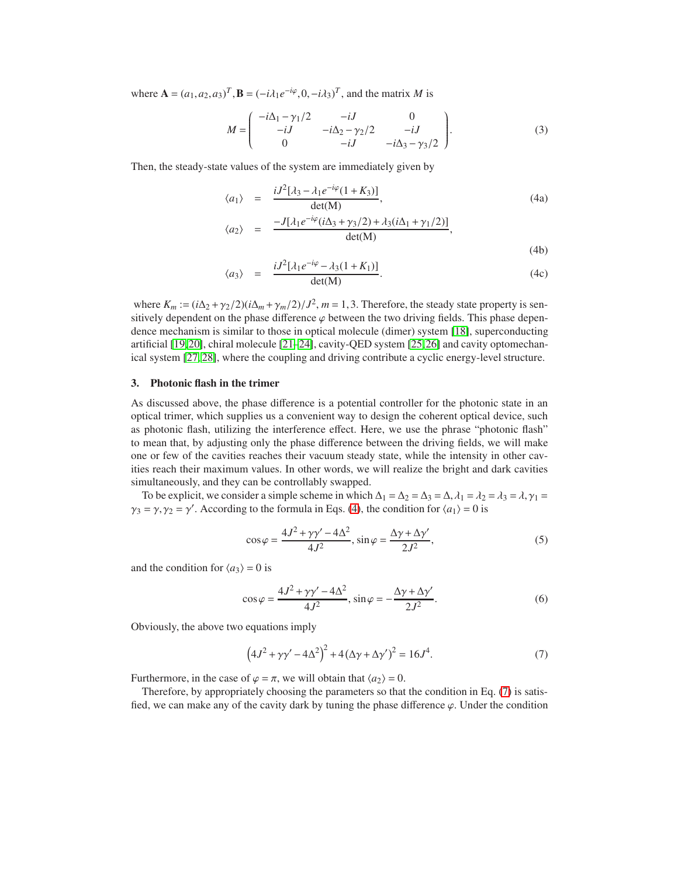where  $\mathbf{A} = (a_1, a_2, a_3)^T$ ,  $\mathbf{B} = (-i\lambda_1 e^{-i\varphi}, 0, -i\lambda_3)^T$ , and the matrix *M* is

<span id="page-3-3"></span>
$$
M = \begin{pmatrix} -i\Delta_1 - \gamma_1/2 & -iJ & 0 \\ -iJ & -i\Delta_2 - \gamma_2/2 & -iJ \\ 0 & -iJ & -i\Delta_3 - \gamma_3/2 \end{pmatrix}.
$$
 (3)

Then, the steady-state values of the system are immediately given by

<span id="page-3-1"></span>
$$
\langle a_1 \rangle = \frac{iJ^2[\lambda_3 - \lambda_1 e^{-i\varphi}(1 + K_3)]}{\det(M)},
$$
\n(4a)

$$
\langle a_2 \rangle = \frac{-J[\lambda_1 e^{-i\varphi}(i\Delta_3 + \gamma_3/2) + \lambda_3(i\Delta_1 + \gamma_1/2)]}{\det(M)},
$$
\n(4b)

$$
\langle a_3 \rangle = \frac{iJ^2[\lambda_1 e^{-i\varphi} - \lambda_3 (1 + K_1)]}{\det(M)}.
$$
 (4c)

where  $K_m := (i\Delta_2 + \gamma_2/2)(i\Delta_m + \gamma_m/2)/J^2$ ,  $m = 1, 3$ . Therefore, the steady state property is sensitively dependent on the phase difference  $\varphi$  between the two driving fields. This phase dependence mechanism is similar to those in optical molecule (dimer) system [\[18\]](#page-1-3), superconducting artificial [\[19,](#page-1-4)[20\]](#page-1-5), chiral molecule [\[21](#page-1-6)[–24\]](#page-1-7), cavity-QED system [\[25,](#page-1-8)[26\]](#page-1-9) and cavity optomechanical system [\[27,](#page-1-10) [28\]](#page-1-11), where the coupling and driving contribute a cyclic energy-level structure.

# <span id="page-3-0"></span>3. Photonic flash in the trimer

As discussed above, the phase difference is a potential controller for the photonic state in an optical trimer, which supplies us a convenient way to design the coherent optical device, such as photonic flash, utilizing the interference effect. Here, we use the phrase "photonic flash" to mean that, by adjusting only the phase difference between the driving fields, we will make one or few of the cavities reaches their vacuum steady state, while the intensity in other cavities reach their maximum values. In other words, we will realize the bright and dark cavities simultaneously, and they can be controllably swapped.

To be explicit, we consider a simple scheme in which  $\Delta_1 = \Delta_2 = \Delta_3 = \Delta$ ,  $\lambda_1 = \lambda_2 = \lambda_3 = \lambda$ ,  $\gamma_1 = \lambda_2 = \lambda_3 = \lambda$  $\gamma_3 = \gamma$ ,  $\gamma_2 = \gamma'$ . According to the formula in Eqs. [\(4\)](#page-3-1), the condition for  $\langle a_1 \rangle = 0$  is

$$
\cos \varphi = \frac{4J^2 + \gamma \gamma' - 4\Delta^2}{4J^2}, \sin \varphi = \frac{\Delta \gamma + \Delta \gamma'}{2J^2},\tag{5}
$$

and the condition for  $\langle a_3 \rangle = 0$  is

$$
\cos\varphi = \frac{4J^2 + \gamma\gamma' - 4\Delta^2}{4J^2}, \sin\varphi = -\frac{\Delta\gamma + \Delta\gamma'}{2J^2}.
$$
 (6)

Obviously, the above two equations imply

<span id="page-3-2"></span>
$$
(4J^{2} + \gamma\gamma' - 4\Delta^{2})^{2} + 4(\Delta\gamma + \Delta\gamma')^{2} = 16J^{4}.
$$
 (7)

Furthermore, in the case of  $\varphi = \pi$ , we will obtain that  $\langle a_2 \rangle = 0$ .

Therefore, by appropriately choosing the parameters so that the condition in Eq. [\(7\)](#page-3-2) is satisfied, we can make any of the cavity dark by tuning the phase difference  $\varphi$ . Under the condition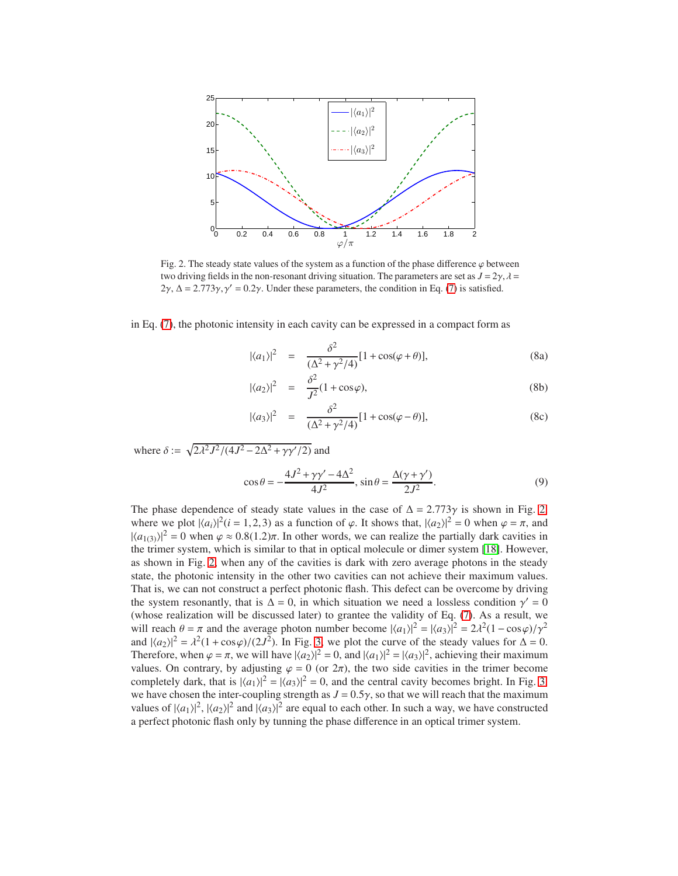

<span id="page-4-0"></span>Fig. 2. The steady state values of the system as a function of the phase difference  $\varphi$  between two driving fields in the non-resonant driving situation. The parameters are set as  $J = 2\gamma$ ,  $\lambda =$  $2\gamma$ ,  $\Delta = 2.773\gamma$ ,  $\gamma' = 0.2\gamma$ . Under these parameters, the condition in Eq. [\(7\)](#page-3-2) is satisfied.

in Eq. [\(7\)](#page-3-2), the photonic intensity in each cavity can be expressed in a compact form as

<span id="page-4-1"></span>
$$
|\langle a_1 \rangle|^2 = \frac{\delta^2}{(\Delta^2 + \gamma^2/4)} [1 + \cos(\varphi + \theta)],
$$
 (8a)

$$
|\langle a_2 \rangle|^2 = \frac{\delta^2}{J^2} (1 + \cos \varphi), \tag{8b}
$$

$$
|\langle a_3 \rangle|^2 = \frac{\delta^2}{(\Delta^2 + \gamma^2/4)} [1 + \cos(\varphi - \theta)],
$$
 (8c)

where  $\delta := \sqrt{2\lambda^2 J^2/(4J^2 - 2\Delta^2 + \gamma \gamma'/2)}$  and

$$
\cos\theta = -\frac{4J^2 + \gamma\gamma' - 4\Delta^2}{4J^2}, \sin\theta = \frac{\Delta(\gamma + \gamma')}{2J^2}.
$$
\n(9)

The phase dependence of steady state values in the case of  $\Delta = 2.773\gamma$  is shown in Fig. [2,](#page-4-0) where we plot  $|\langle a_i \rangle|^2$  (*i* = 1,2,3) as a function of  $\varphi$ . It shows that,  $|\langle a_2 \rangle|^2 = 0$  when  $\varphi = \pi$ , and  $|\langle a_{1(3)}\rangle|^2 = 0$  when  $\varphi \approx 0.8(1.2)\pi$ . In other words, we can realize the partially dark cavities in the trimer system, which is similar to that in optical molecule or dimer system [\[18\]](#page-1-3). However, as shown in Fig. [2,](#page-4-0) when any of the cavities is dark with zero average photons in the steady state, the photonic intensity in the other two cavities can not achieve their maximum values. That is, we can not construct a perfect photonic flash. This defect can be overcome by driving the system resonantly, that is  $\Delta = 0$ , in which situation we need a lossless condition  $\gamma' = 0$ (whose realization will be discussed later) to grantee the validity of Eq. [\(7\)](#page-3-2). As a result, we will reach  $\theta = \pi$  and the average photon number become  $|\langle a_1 \rangle|^2 = |\langle a_3 \rangle|^2 = 2\lambda^2(1 - \cos\varphi)/\gamma^2$ and  $|\langle a_2 \rangle|^2 = \lambda^2 (1 + \cos \varphi)/(2J^2)$ . In Fig. [3,](#page-5-1) we plot the curve of the steady values for  $\Delta = 0$ . Therefore, when  $\varphi = \pi$ , we will have  $|\langle a_2 \rangle|^2 = 0$ , and  $|\langle a_1 \rangle|^2 = |\langle a_3 \rangle|^2$ , achieving their maximum values. On contrary, by adjusting  $\varphi = 0$  (or  $2\pi$ ), the two side cavities in the trimer become completely dark, that is  $|\langle a_1 \rangle|^2 = |\langle a_3 \rangle|^2 = 0$ , and the central cavity becomes bright. In Fig. [3,](#page-5-1) we have chosen the inter-coupling strength as  $J = 0.5\gamma$ , so that we will reach that the maximum values of  $|\langle a_1 \rangle|^2$ ,  $|\langle a_2 \rangle|^2$  and  $|\langle a_3 \rangle|^2$  are equal to each other. In such a way, we have constructed a perfect photonic flash only by tunning the phase difference in an optical trimer system.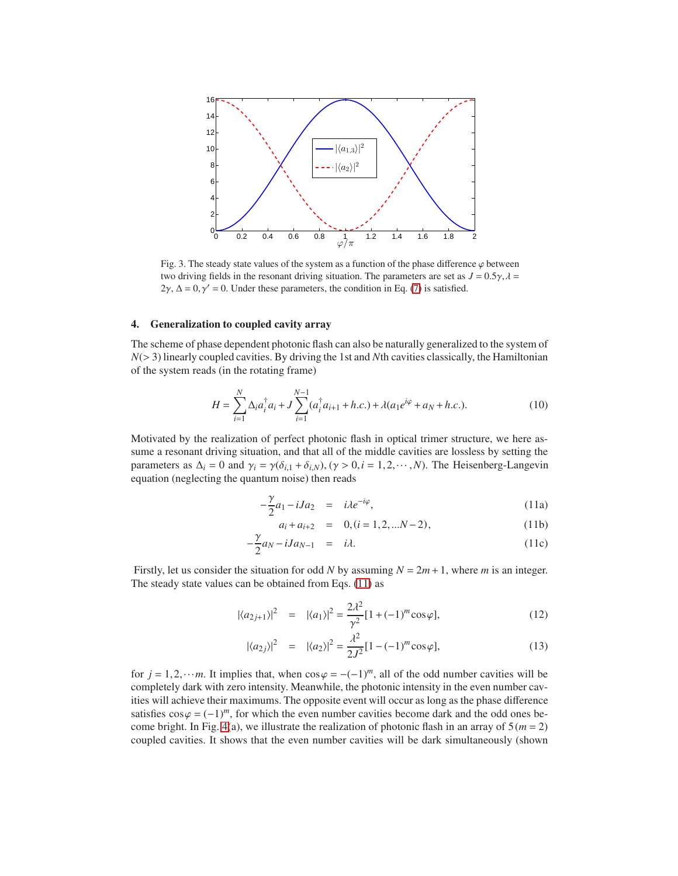

<span id="page-5-1"></span>Fig. 3. The steady state values of the system as a function of the phase difference  $\varphi$  between two driving fields in the resonant driving situation. The parameters are set as  $J = 0.5\gamma$ ,  $\lambda =$  $2\gamma$ ,  $\Delta = 0$ ,  $\gamma' = 0$ . Under these parameters, the condition in Eq. [\(7\)](#page-3-2) is satisfied.

## <span id="page-5-0"></span>4. Generalization to coupled cavity array

The scheme of phase dependent photonic flash can also be naturally generalized to the system of *N*(> 3) linearly coupled cavities. By driving the 1st and *N*th cavities classically, the Hamiltonian of the system reads (in the rotating frame)

$$
H = \sum_{i=1}^{N} \Delta_i a_i^{\dagger} a_i + J \sum_{i=1}^{N-1} (a_i^{\dagger} a_{i+1} + h.c.) + \lambda (a_1 e^{i\varphi} + a_N + h.c.).
$$
 (10)

Motivated by the realization of perfect photonic flash in optical trimer structure, we here assume a resonant driving situation, and that all of the middle cavities are lossless by setting the parameters as  $\Delta_i = 0$  and  $\gamma_i = \gamma(\delta_{i,1} + \delta_{i,N}), (\gamma > 0, i = 1, 2, \dots, N)$ . The Heisenberg-Langevin equation (neglecting the quantum noise) then reads

<span id="page-5-2"></span>
$$
-\frac{\gamma}{2}a_1 - iJa_2 = i\lambda e^{-i\varphi}, \qquad (11a)
$$

$$
a_i + a_{i+2} = 0, (i = 1, 2, \dots N - 2), \tag{11b}
$$

$$
-\frac{\gamma}{2}a_N - iJa_{N-1} = i\lambda. \tag{11c}
$$

Firstly, let us consider the situation for odd *N* by assuming  $N = 2m + 1$ , where *m* is an integer. The steady state values can be obtained from Eqs. [\(11\)](#page-5-2) as

$$
|\langle a_{2j+1}\rangle|^2 = |\langle a_1\rangle|^2 = \frac{2\lambda^2}{\gamma^2} [1 + (-1)^m \cos \varphi],
$$
 (12)

$$
|\langle a_{2j}\rangle|^2 = |\langle a_{2}\rangle|^2 = \frac{\lambda^2}{2J^2} [1 - (-1)^m \cos \varphi],
$$
 (13)

for  $j = 1, 2, \dots m$ . It implies that, when  $\cos \varphi = -(-1)^m$ , all of the odd number cavities will be completely dark with zero intensity. Meanwhile, the photonic intensity in the even number cavities will achieve their maximums. The opposite event will occur as long as the phase difference satisfies  $\cos \varphi = (-1)^m$ , for which the even number cavities become dark and the odd ones be-come bright. In Fig. [4\(](#page-6-1)a), we illustrate the realization of photonic flash in an array of  $5(m = 2)$ coupled cavities. It shows that the even number cavities will be dark simultaneously (shown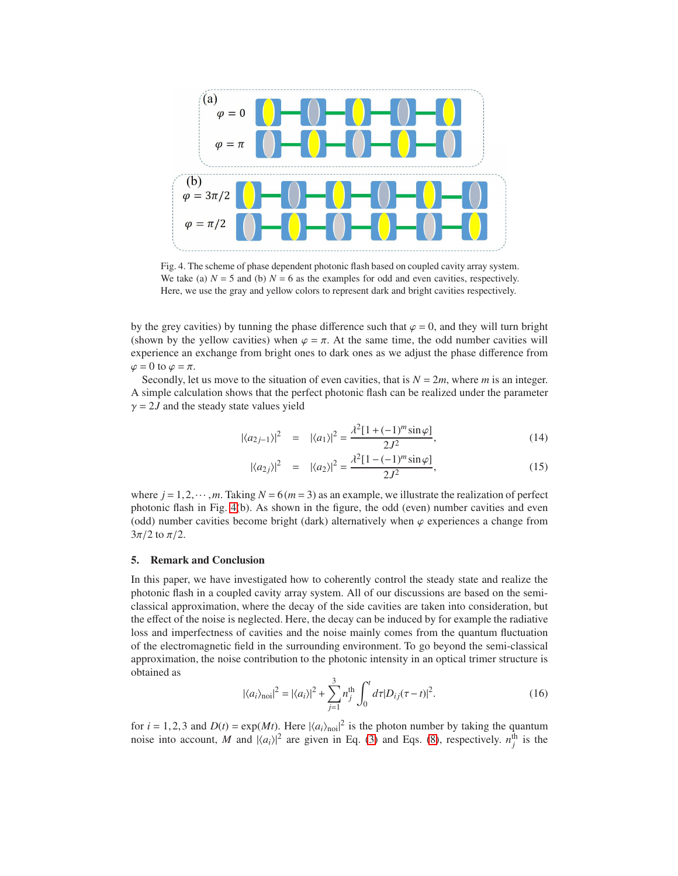

<span id="page-6-1"></span>Fig. 4. The scheme of phase dependent photonic flash based on coupled cavity array system. We take (a)  $N = 5$  and (b)  $N = 6$  as the examples for odd and even cavities, respectively. Here, we use the gray and yellow colors to represent dark and bright cavities respectively.

by the grey cavities) by tunning the phase difference such that  $\varphi = 0$ , and they will turn bright (shown by the yellow cavities) when  $\varphi = \pi$ . At the same time, the odd number cavities will experience an exchange from bright ones to dark ones as we adjust the phase difference from  $\varphi = 0$  to  $\varphi = \pi$ .

Secondly, let us move to the situation of even cavities, that is  $N = 2m$ , where *m* is an integer. A simple calculation shows that the perfect photonic flash can be realized under the parameter  $\gamma = 2J$  and the steady state values yield

$$
|\langle a_{2j-1}\rangle|^2 = |\langle a_1\rangle|^2 = \frac{\lambda^2 [1 + (-1)^m \sin \varphi]}{2J^2},
$$
\n(14)

$$
|\langle a_{2j}\rangle|^{2} = |\langle a_{2}\rangle|^{2} = \frac{\lambda^{2}[1 - (-1)^{m}\sin\varphi]}{2J^{2}},
$$
\n(15)

where  $j = 1, 2, \dots, m$ . Taking  $N = 6(m = 3)$  as an example, we illustrate the realization of perfect photonic flash in Fig. [4\(](#page-6-1)b). As shown in the figure, the odd (even) number cavities and even (odd) number cavities become bright (dark) alternatively when  $\varphi$  experiences a change from  $3\pi/2$  to  $\pi/2$ .

## <span id="page-6-0"></span>5. Remark and Conclusion

In this paper, we have investigated how to coherently control the steady state and realize the photonic flash in a coupled cavity array system. All of our discussions are based on the semiclassical approximation, where the decay of the side cavities are taken into consideration, but the effect of the noise is neglected. Here, the decay can be induced by for example the radiative loss and imperfectness of cavities and the noise mainly comes from the quantum fluctuation of the electromagnetic field in the surrounding environment. To go beyond the semi-classical approximation, the noise contribution to the photonic intensity in an optical trimer structure is obtained as

$$
|\langle a_i \rangle_{\text{noi}}|^2 = |\langle a_i \rangle|^2 + \sum_{j=1}^3 n_j^{\text{th}} \int_0^t d\tau |D_{ij}(\tau - t)|^2.
$$
 (16)

for  $i = 1, 2, 3$  and  $D(t) = \exp(Mt)$ . Here  $|\langle a_i \rangle_{\text{noi}}|^2$  is the photon number by taking the quantum noise into account, *M* and  $|\langle a_i \rangle|^2$  are given in Eq. [\(3\)](#page-3-3) and Eqs. [\(8\)](#page-4-1), respectively.  $n_j^{\text{th}}$  is the